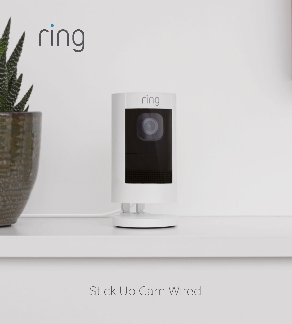

# Stick Up Cam Wired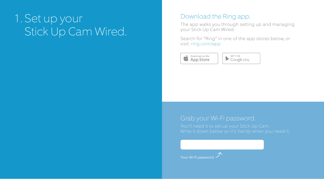# 1. Set up your Stick Up Cam Wired.

# Download the Ring app.

The app walks you through setting up and managing your Stick Up Cam Wired.

Search for "Ring" in one of the app stores below, or visit: ring.com/app



GET IT ON  $\blacktriangleright$  Google play

## Grab your Wi-Fi password.

Your Wi-Fi password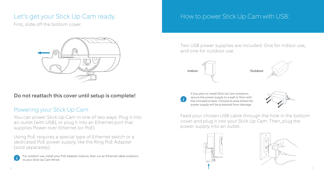# Let's get your Stick Up Cam ready.

First, slide off the bottom cover.



#### Do not reattach this cover until setup is complete!

## Powering your Stick Up Cam

You can power Stick Up Cam in one of two ways: Plug it into an outlet (with USB), or plug it into an Ethernet port that supplies Power over Ethernet (or PoE).

Using PoE requires a special type of Ethernet switch or a dedicated PoE power supply, like the Ring PoE Adapter (sold separately).

For outdoor use, install your PoE Adapter indoors, then run an Ethernet cable outdoors to your Stick Up Cam Wired.

# How to power Stick Up Cam with USB:

Two USB power supplies are included: One for indoor use, and one for outdoor use.







Feed your chosen USB cable through the hole in the bottom cover and plug it into your Stick Up Cam. Then, plug the power supply into an outlet.



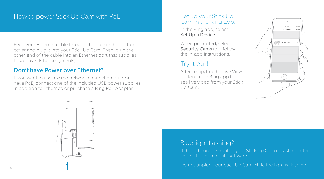## How to power Stick Up Cam with PoE:

Feed your Ethernet cable through the hole in the bottom cover and plug it into your Stick Up Cam. Then, plug the other end of the cable into an Ethernet port that supplies Power over Ethernet (or PoE).

#### Don't have Power over Ethernet?

If you want to use a wired network connection but don't have PoE, connect one of the included USB power supplies in addition to Ethernet, or purchase a Ring PoE Adapter.

## Set up your Stick Up Cam in the Ring app.

In the Ring app, select Set Up a Device.

When prompted, select Security Cams and follow the in-app instructions.

# Try it out!

After setup, tap the Live View button in the Ring app to see live video from your Stick Up Cam.





## Blue light flashing?

If the light on the front of your Stick Up Cam is flashing after setup, it's updating its software.

Do not unplug your Stick Up Cam while the light is flashing!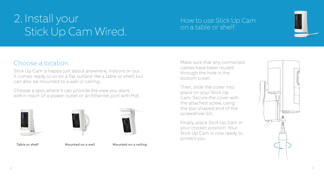# 2. Install your Stick Up Cam Wired.

## How to use Stick Up Cam on a table or shelf:



# Choose a location.

Stick Up Cam is happy just about anywhere, indoors or out. It comes ready to sit on a flat surface like a table or shelf, but can also be mounted to a wall or ceiling.

Choose a spot where it can provide the view you want, within reach of a power outlet or an Ethernet port with PoE.





Table or shelf Mounted on a wall Mounted on a ceiling

Make sure that any connected cables have been routed through the hole in the bottom cover.

Then, slide the cover into place on your Stick Up Cam. Secure the cover with the attached screw, using the star-shaped end of the screwdriver bit.

Finally, place Stick Up Cam in your chosen position. Your Stick Up Cam is now ready to protect you.

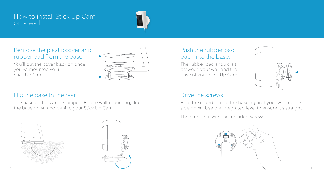## How to install Stick Up Cam on a wall:



## Remove the plastic cover and rubber pad from the base.

You'll put the cover back on once you've mounted your Stick Up Cam.



#### Flip the base to the rear.

The base of the stand is hinged. Before wall-mounting, flip the base down and behind your Stick Up Cam.





## Push the rubber pad back into the base.

The rubber pad should sit between your wall and the base of your Stick Up Cam.



#### Drive the screws.

Hold the round part of the base against your wall, rubberside down. Use the integrated level to ensure it's straight.

Then mount it with the included screws.

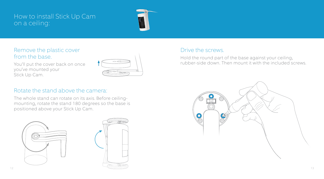## How to install Stick Up Cam on a ceiling:



### Remove the plastic cover from the base.

You'll put the cover back on once you've mounted your Stick Up Cam.



#### Rotate the stand above the camera:

The whole stand can rotate on its axis. Before ceilingmounting, rotate the stand 180 degrees so the base is positioned above your Stick Up Cam.



#### Drive the screws.

Hold the round part of the base against your ceiling, rubber-side down. Then mount it with the included screws.

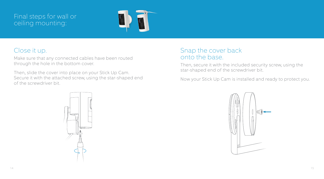## Final steps for wall or ceiling mounting:



# Close it up.

Make sure that any connected cables have been routed through the hole in the bottom cover.

Then, slide the cover into place on your Stick Up Cam. Secure it with the attached screw, using the star-shaped end of the screwdriver bit.

# Snap the cover back onto the base.

Then, secure it with the included security screw, using the star-shaped end of the screwdriver bit.

Now your Stick Up Cam is installed and ready to protect you.